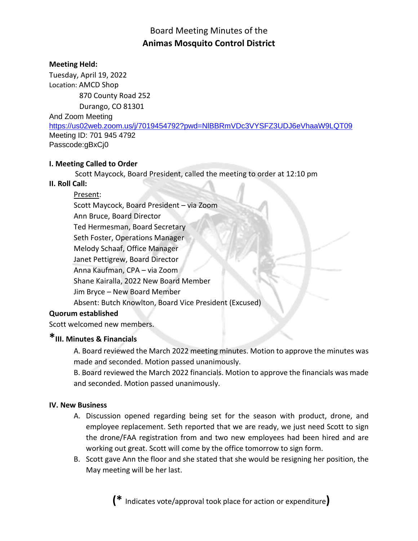# Board Meeting Minutes of the **Animas Mosquito Control District**

# **Meeting Held:**

Tuesday, April 19, 2022 Location: AMCD Shop 870 County Road 252 Durango, CO 81301 And Zoom Meeting [https://us02web.zoom.us/j/7019454792?pwd=NlBBRmVDc3VYSFZ3UDJ6eVhaaW9LQT09](https://www.google.com/url?q=https://us02web.zoom.us/j/7019454792?pwd%3DNlBBRmVDc3VYSFZ3UDJ6eVhaaW9LQT09&sa=D&source=calendar&usd=2&usg=AOvVaw2AESM4mMBBNaM8PftVamO8) Meeting ID: 701 945 4792 Passcode:gBxCj0

# **I. Meeting Called to Order**

Scott Maycock, Board President, called the meeting to order at 12:10 pm

# **II. Roll Call:**

# Present:

Scott Maycock, Board President – via Zoom Ann Bruce, Board Director Ted Hermesman, Board Secretary Seth Foster, Operations Manager Melody Schaaf, Office Manager Janet Pettigrew, Board Director Anna Kaufman, CPA – via Zoom Shane Kairalla, 2022 New Board Member Jim Bryce – New Board Member Absent: Butch Knowlton, Board Vice President (Excused)

# **Quorum established**

Scott welcomed new members.

# **\*III. Minutes & Financials**

A. Board reviewed the March 2022 meeting minutes. Motion to approve the minutes was made and seconded. Motion passed unanimously.

B. Board reviewed the March 2022 financials. Motion to approve the financials was made and seconded. Motion passed unanimously.

# **IV. New Business**

- A. Discussion opened regarding being set for the season with product, drone, and employee replacement. Seth reported that we are ready, we just need Scott to sign the drone/FAA registration from and two new employees had been hired and are working out great. Scott will come by the office tomorrow to sign form.
- B. Scott gave Ann the floor and she stated that she would be resigning her position, the May meeting will be her last.

**(\*** Indicates vote/approval took place for action or expenditure**)**